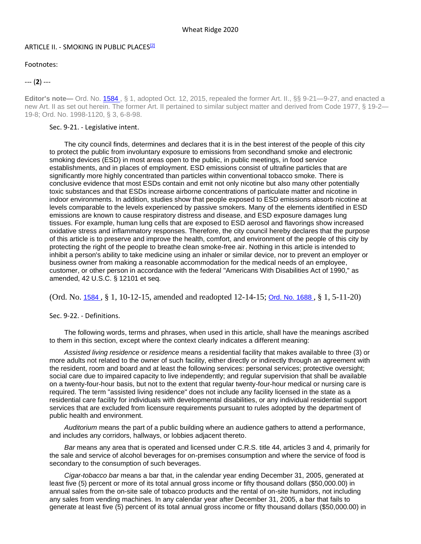## ARTICLE II. - SMOKING IN PUBLIC PLACES<sup>[2]</sup>

Footnotes:

--- (**2**) ---

Editor's note— Ord. No. 1584, § 1, adopted Oct. 12, 2015, repealed the former Art. II., §§ 9-21—9-27, and enacted a new Art. II as set out herein. The former Art. II pertained to similar subject matter and derived from Code 1977, § 19-2— 19-8; Ord. No. 1998-1120, § 3, 6-8-98.

## Sec. 9-21. - Legislative intent.

The city council finds, determines and declares that it is in the best interest of the people of this city to protect the public from involuntary exposure to emissions from secondhand smoke and electronic smoking devices (ESD) in most areas open to the public, in public meetings, in food service establishments, and in places of employment. ESD emissions consist of ultrafine particles that are significantly more highly concentrated than particles within conventional tobacco smoke. There is conclusive evidence that most ESDs contain and emit not only nicotine but also many other potentially toxic substances and that ESDs increase airborne concentrations of particulate matter and nicotine in indoor environments. In addition, studies show that people exposed to ESD emissions absorb nicotine at levels comparable to the levels experienced by passive smokers. Many of the elements identified in ESD emissions are known to cause respiratory distress and disease, and ESD exposure damages lung tissues. For example, human lung cells that are exposed to ESD aerosol and flavorings show increased oxidative stress and inflammatory responses. Therefore, the city council hereby declares that the purpose of this article is to preserve and improve the health, comfort, and environment of the people of this city by protecting the right of the people to breathe clean smoke-free air. Nothing in this article is intended to inhibit a person's ability to take medicine using an inhaler or similar device, nor to prevent an employer or business owner from making a reasonable accommodation for the medical needs of an employee, customer, or other person in accordance with the federal "Americans With Disabilities Act of 1990," as amended, 42 U.S.C. § 12101 et seq.

(Ord. No. [1584](http://newords.municode.com/readordinance.aspx?ordinanceid=776103&datasource=ordbank) , § 1, 10-12-15, amended and readopted 12-14-15; [Ord. No. 1688](http://newords.municode.com/readordinance.aspx?ordinanceid=1024783&datasource=ordbank) , § 1, 5-11-20)

Sec. 9-22. - Definitions.

The following words, terms and phrases, when used in this article, shall have the meanings ascribed to them in this section, except where the context clearly indicates a different meaning:

*Assisted living residence* or *residence* means a residential facility that makes available to three (3) or more adults not related to the owner of such facility, either directly or indirectly through an agreement with the resident, room and board and at least the following services: personal services; protective oversight; social care due to impaired capacity to live independently; and regular supervision that shall be available on a twenty-four-hour basis, but not to the extent that regular twenty-four-hour medical or nursing care is required. The term "assisted living residence" does not include any facility licensed in the state as a residential care facility for individuals with developmental disabilities, or any individual residential support services that are excluded from licensure requirements pursuant to rules adopted by the department of public health and environment.

*Auditorium* means the part of a public building where an audience gathers to attend a performance, and includes any corridors, hallways, or lobbies adjacent thereto.

*Bar* means any area that is operated and licensed under C.R.S. title 44, articles 3 and 4, primarily for the sale and service of alcohol beverages for on-premises consumption and where the service of food is secondary to the consumption of such beverages.

*Cigar-tobacco bar* means a bar that, in the calendar year ending December 31, 2005, generated at least five (5) percent or more of its total annual gross income or fifty thousand dollars (\$50,000.00) in annual sales from the on-site sale of tobacco products and the rental of on-site humidors, not including any sales from vending machines. In any calendar year after December 31, 2005, a bar that fails to generate at least five (5) percent of its total annual gross income or fifty thousand dollars (\$50,000.00) in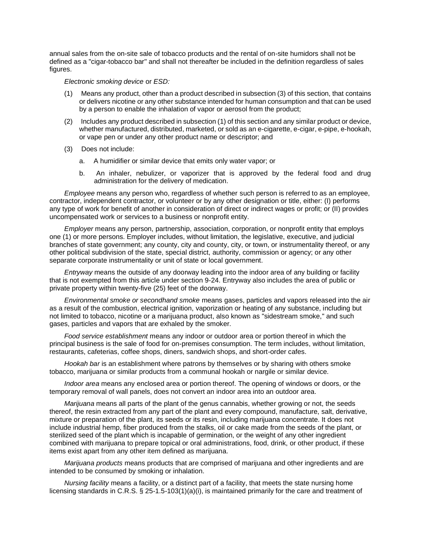annual sales from the on-site sale of tobacco products and the rental of on-site humidors shall not be defined as a "cigar-tobacco bar" and shall not thereafter be included in the definition regardless of sales figures.

## *Electronic smoking device* or *ESD:*

- (1) Means any product, other than a product described in subsection (3) of this section, that contains or delivers nicotine or any other substance intended for human consumption and that can be used by a person to enable the inhalation of vapor or aerosol from the product;
- (2) Includes any product described in subsection (1) of this section and any similar product or device, whether manufactured, distributed, marketed, or sold as an e-cigarette, e-cigar, e-pipe, e-hookah, or vape pen or under any other product name or descriptor; and
- (3) Does not include:
	- a. A humidifier or similar device that emits only water vapor; or
	- b. An inhaler, nebulizer, or vaporizer that is approved by the federal food and drug administration for the delivery of medication.

*Employee* means any person who, regardless of whether such person is referred to as an employee, contractor, independent contractor, or volunteer or by any other designation or title, either: (I) performs any type of work for benefit of another in consideration of direct or indirect wages or profit; or (II) provides uncompensated work or services to a business or nonprofit entity.

*Employer* means any person, partnership, association, corporation, or nonprofit entity that employs one (1) or more persons. Employer includes, without limitation, the legislative, executive, and judicial branches of state government; any county, city and county, city, or town, or instrumentality thereof, or any other political subdivision of the state, special district, authority, commission or agency; or any other separate corporate instrumentality or unit of state or local government.

*Entryway* means the outside of any doorway leading into the indoor area of any building or facility that is not exempted from this article under section 9-24. Entryway also includes the area of public or private property within twenty-five (25) feet of the doorway.

*Environmental smoke or secondhand smoke* means gases, particles and vapors released into the air as a result of the combustion, electrical ignition, vaporization or heating of any substance, including but not limited to tobacco, nicotine or a marijuana product, also known as "sidestream smoke," and such gases, particles and vapors that are exhaled by the smoker.

*Food service establishment* means any indoor or outdoor area or portion thereof in which the principal business is the sale of food for on-premises consumption. The term includes, without limitation, restaurants, cafeterias, coffee shops, diners, sandwich shops, and short-order cafes.

*Hookah bar* is an establishment where patrons by themselves or by sharing with others smoke tobacco, marijuana or similar products from a communal hookah or nargile or similar device.

*Indoor area* means any enclosed area or portion thereof. The opening of windows or doors, or the temporary removal of wall panels, does not convert an indoor area into an outdoor area.

*Marijuana* means all parts of the plant of the genus cannabis, whether growing or not, the seeds thereof, the resin extracted from any part of the plant and every compound, manufacture, salt, derivative, mixture or preparation of the plant, its seeds or its resin, including marijuana concentrate. It does not include industrial hemp, fiber produced from the stalks, oil or cake made from the seeds of the plant, or sterilized seed of the plant which is incapable of germination, or the weight of any other ingredient combined with marijuana to prepare topical or oral administrations, food, drink, or other product, if these items exist apart from any other item defined as marijuana.

*Marijuana products* means products that are comprised of marijuana and other ingredients and are intended to be consumed by smoking or inhalation.

*Nursing facility* means a facility, or a distinct part of a facility, that meets the state nursing home licensing standards in C.R.S. § 25-1.5-103(1)(a)(i), is maintained primarily for the care and treatment of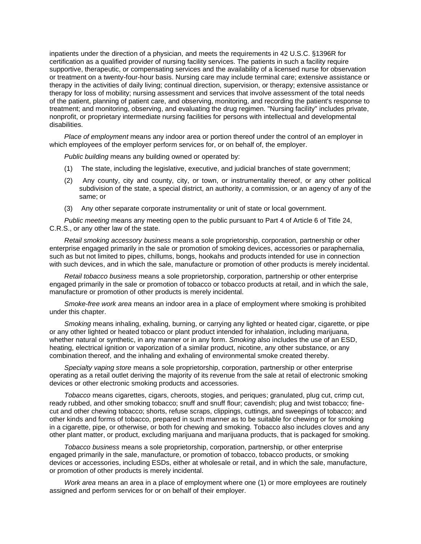inpatients under the direction of a physician, and meets the requirements in 42 U.S.C. §1396R for certification as a qualified provider of nursing facility services. The patients in such a facility require supportive, therapeutic, or compensating services and the availability of a licensed nurse for observation or treatment on a twenty-four-hour basis. Nursing care may include terminal care; extensive assistance or therapy in the activities of daily living; continual direction, supervision, or therapy; extensive assistance or therapy for loss of mobility; nursing assessment and services that involve assessment of the total needs of the patient, planning of patient care, and observing, monitoring, and recording the patient's response to treatment; and monitoring, observing, and evaluating the drug regimen. "Nursing facility" includes private, nonprofit, or proprietary intermediate nursing facilities for persons with intellectual and developmental disabilities.

*Place of employment* means any indoor area or portion thereof under the control of an employer in which employees of the employer perform services for, or on behalf of, the employer.

*Public building* means any building owned or operated by:

- (1) The state, including the legislative, executive, and judicial branches of state government;
- (2) Any county, city and county, city, or town, or instrumentality thereof, or any other political subdivision of the state, a special district, an authority, a commission, or an agency of any of the same; or
- (3) Any other separate corporate instrumentality or unit of state or local government.

*Public meeting* means any meeting open to the public pursuant to Part 4 of Article 6 of Title 24, C.R.S., or any other law of the state.

*Retail smoking accessory business* means a sole proprietorship, corporation, partnership or other enterprise engaged primarily in the sale or promotion of smoking devices, accessories or paraphernalia, such as but not limited to pipes, chillums, bongs, hookahs and products intended for use in connection with such devices, and in which the sale, manufacture or promotion of other products is merely incidental.

*Retail tobacco business* means a sole proprietorship, corporation, partnership or other enterprise engaged primarily in the sale or promotion of tobacco or tobacco products at retail, and in which the sale, manufacture or promotion of other products is merely incidental.

*Smoke-free work area* means an indoor area in a place of employment where smoking is prohibited under this chapter.

*Smoking* means inhaling, exhaling, burning, or carrying any lighted or heated cigar, cigarette, or pipe or any other lighted or heated tobacco or plant product intended for inhalation, including marijuana, whether natural or synthetic, in any manner or in any form. *Smoking* also includes the use of an ESD, heating, electrical ignition or vaporization of a similar product, nicotine, any other substance, or any combination thereof, and the inhaling and exhaling of environmental smoke created thereby.

*Specialty vaping store* means a sole proprietorship, corporation, partnership or other enterprise operating as a retail outlet deriving the majority of its revenue from the sale at retail of electronic smoking devices or other electronic smoking products and accessories.

*Tobacco* means cigarettes, cigars, cheroots, stogies, and periques; granulated, plug cut, crimp cut, ready rubbed, and other smoking tobacco; snuff and snuff flour; cavendish; plug and twist tobacco; finecut and other chewing tobacco; shorts, refuse scraps, clippings, cuttings, and sweepings of tobacco; and other kinds and forms of tobacco, prepared in such manner as to be suitable for chewing or for smoking in a cigarette, pipe, or otherwise, or both for chewing and smoking. Tobacco also includes cloves and any other plant matter, or product, excluding marijuana and marijuana products, that is packaged for smoking.

*Tobacco business* means a sole proprietorship, corporation, partnership, or other enterprise engaged primarily in the sale, manufacture, or promotion of tobacco, tobacco products, or smoking devices or accessories, including ESDs, either at wholesale or retail, and in which the sale, manufacture, or promotion of other products is merely incidental.

*Work area* means an area in a place of employment where one (1) or more employees are routinely assigned and perform services for or on behalf of their employer.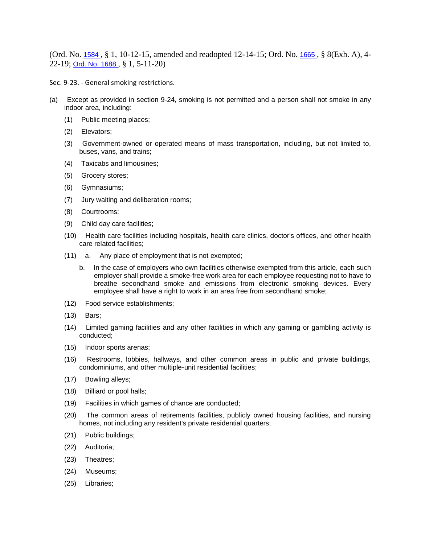(Ord. No. [1584](http://newords.municode.com/readordinance.aspx?ordinanceid=776103&datasource=ordbank) , § 1, 10-12-15, amended and readopted 12-14-15; Ord. No. [1665](http://newords.municode.com/readordinance.aspx?ordinanceid=955882&datasource=ordbank) , § 8(Exh. A), 4- 22-19; [Ord. No. 1688](http://newords.municode.com/readordinance.aspx?ordinanceid=1024783&datasource=ordbank) , § 1, 5-11-20)

Sec. 9-23. - General smoking restrictions.

- (a) Except as provided in section 9-24, smoking is not permitted and a person shall not smoke in any indoor area, including:
	- (1) Public meeting places;
	- (2) Elevators;
	- (3) Government-owned or operated means of mass transportation, including, but not limited to, buses, vans, and trains;
	- (4) Taxicabs and limousines;
	- (5) Grocery stores;
	- (6) Gymnasiums;
	- (7) Jury waiting and deliberation rooms;
	- (8) Courtrooms;
	- (9) Child day care facilities;
	- (10) Health care facilities including hospitals, health care clinics, doctor's offices, and other health care related facilities;
	- (11) a. Any place of employment that is not exempted;
		- b. In the case of employers who own facilities otherwise exempted from this article, each such employer shall provide a smoke-free work area for each employee requesting not to have to breathe secondhand smoke and emissions from electronic smoking devices. Every employee shall have a right to work in an area free from secondhand smoke;
	- (12) Food service establishments;
	- (13) Bars;
	- (14) Limited gaming facilities and any other facilities in which any gaming or gambling activity is conducted;
	- (15) Indoor sports arenas;
	- (16) Restrooms, lobbies, hallways, and other common areas in public and private buildings, condominiums, and other multiple-unit residential facilities;
	- (17) Bowling alleys;
	- (18) Billiard or pool halls;
	- (19) Facilities in which games of chance are conducted;
	- (20) The common areas of retirements facilities, publicly owned housing facilities, and nursing homes, not including any resident's private residential quarters;
	- (21) Public buildings;
	- (22) Auditoria;
	- (23) Theatres;
	- (24) Museums;
	- (25) Libraries;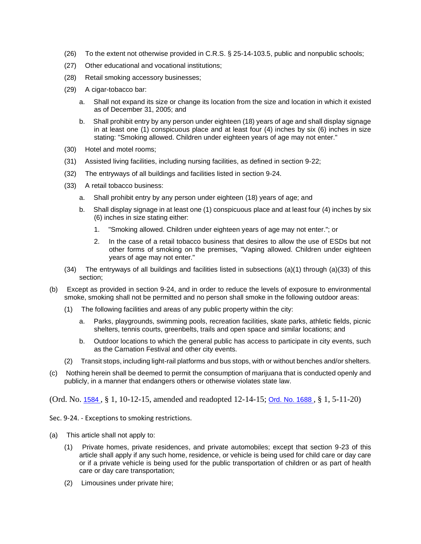- (26) To the extent not otherwise provided in C.R.S. § 25-14-103.5, public and nonpublic schools;
- (27) Other educational and vocational institutions;
- (28) Retail smoking accessory businesses;
- (29) A cigar-tobacco bar:
	- a. Shall not expand its size or change its location from the size and location in which it existed as of December 31, 2005; and
	- b. Shall prohibit entry by any person under eighteen (18) years of age and shall display signage in at least one (1) conspicuous place and at least four (4) inches by six (6) inches in size stating: "Smoking allowed. Children under eighteen years of age may not enter."
- (30) Hotel and motel rooms;
- (31) Assisted living facilities, including nursing facilities, as defined in section 9-22;
- (32) The entryways of all buildings and facilities listed in section 9-24.
- (33) A retail tobacco business:
	- a. Shall prohibit entry by any person under eighteen (18) years of age; and
	- b. Shall display signage in at least one (1) conspicuous place and at least four (4) inches by six (6) inches in size stating either:
		- 1. "Smoking allowed. Children under eighteen years of age may not enter."; or
		- 2. In the case of a retail tobacco business that desires to allow the use of ESDs but not other forms of smoking on the premises, "Vaping allowed. Children under eighteen years of age may not enter."
- (34) The entryways of all buildings and facilities listed in subsections (a)(1) through (a)(33) of this section;
- (b) Except as provided in section 9-24, and in order to reduce the levels of exposure to environmental smoke, smoking shall not be permitted and no person shall smoke in the following outdoor areas:
	- (1) The following facilities and areas of any public property within the city:
		- a. Parks, playgrounds, swimming pools, recreation facilities, skate parks, athletic fields, picnic shelters, tennis courts, greenbelts, trails and open space and similar locations; and
		- b. Outdoor locations to which the general public has access to participate in city events, such as the Carnation Festival and other city events.
	- (2) Transit stops, including light-rail platforms and bus stops, with or without benches and/or shelters.
- (c) Nothing herein shall be deemed to permit the consumption of marijuana that is conducted openly and publicly, in a manner that endangers others or otherwise violates state law.

(Ord. No. 1584 , § 1, 10-12-15, amended and readopted 12-14-15; Ord. No. 1688 , § 1, 5-11-20)

Sec. 9-24. - Exceptions to smoking restrictions.

- (a) This article shall not apply to:
	- (1) Private homes, private residences, and private automobiles; except that section 9-23 of this article shall apply if any such home, residence, or vehicle is being used for child care or day care or if a private vehicle is being used for the public transportation of children or as part of health care or day care transportation;
	- (2) Limousines under private hire;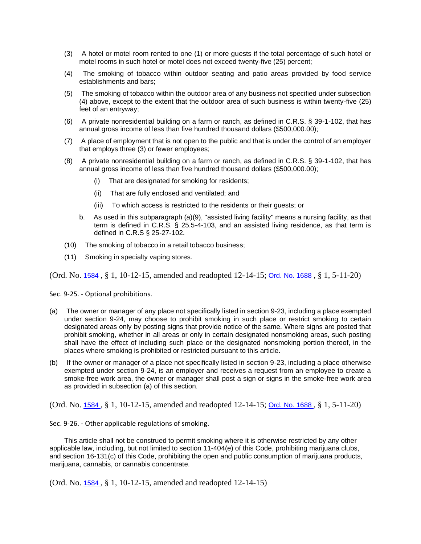- (3) A hotel or motel room rented to one (1) or more guests if the total percentage of such hotel or motel rooms in such hotel or motel does not exceed twenty-five (25) percent;
- (4) The smoking of tobacco within outdoor seating and patio areas provided by food service establishments and bars;
- (5) The smoking of tobacco within the outdoor area of any business not specified under subsection (4) above, except to the extent that the outdoor area of such business is within twenty-five (25) feet of an entryway;
- (6) A private nonresidential building on a farm or ranch, as defined in C.R.S. § 39-1-102, that has annual gross income of less than five hundred thousand dollars (\$500,000.00);
- (7) A place of employment that is not open to the public and that is under the control of an employer that employs three (3) or fewer employees;
- (8) A private nonresidential building on a farm or ranch, as defined in C.R.S. § 39-1-102, that has annual gross income of less than five hundred thousand dollars (\$500,000.00);
	- That are designated for smoking for residents;
	- (ii) That are fully enclosed and ventilated; and
	- (iii) To which access is restricted to the residents or their guests; or
	- b. As used in this subparagraph (a)(9), "assisted living facility" means a nursing facility, as that term is defined in C.R.S. § 25.5-4-103, and an assisted living residence, as that term is defined in C.R.S § 25-27-102.
- (10) The smoking of tobacco in a retail tobacco business;
- (11) Smoking in specialty vaping stores.

(Ord. No. 1584 , § 1, 10-12-15, amended and readopted 12-14-15; Ord. No. 1688 , § 1, 5-11-20)

Sec. 9-25. - Optional prohibitions.

- (a) The owner or manager of any place not specifically listed in section 9-23, including a place exempted under section 9-24, may choose to prohibit smoking in such place or restrict smoking to certain designated areas only by posting signs that provide notice of the same. Where signs are posted that prohibit smoking, whether in all areas or only in certain designated nonsmoking areas, such posting shall have the effect of including such place or the designated nonsmoking portion thereof, in the places where smoking is prohibited or restricted pursuant to this article.
- (b) If the owner or manager of a place not specifically listed in section 9-23, including a place otherwise exempted under section 9-24, is an employer and receives a request from an employee to create a smoke-free work area, the owner or manager shall post a sign or signs in the smoke-free work area as provided in subsection (a) of this section.

(Ord. No. 1584 , § 1, 10-12-15, amended and readopted 12-14-15; Ord. No. 1688 , § 1, 5-11-20)

Sec. 9-26. - Other applicable regulations of smoking.

This article shall not be construed to permit smoking where it is otherwise restricted by any other applicable law, including, but not limited to section 11-404(e) of this Code, prohibiting marijuana clubs, and section 16-131(c) of this Code, prohibiting the open and public consumption of marijuana products, marijuana, cannabis, or cannabis concentrate.

(Ord. No. 1584 , § 1, 10-12-15, amended and readopted 12-14-15)